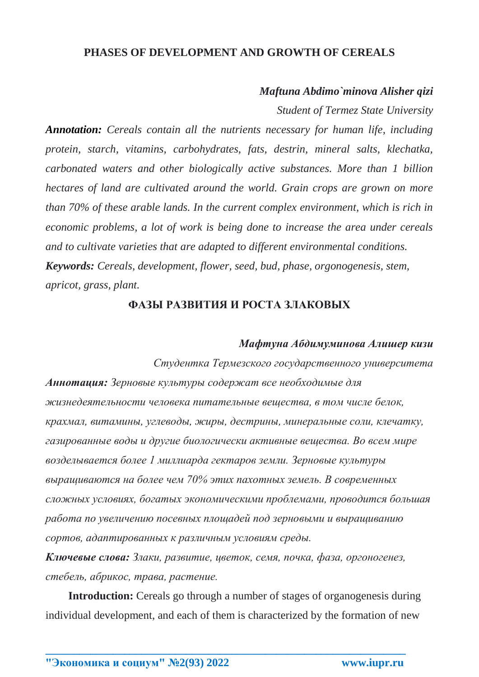## **PHASES OF DEVELOPMENT AND GROWTH OF CEREALS**

### *Maftuna Abdimo`minova Alisher qizi*

*Student of Termez State University*

*Annotation: Cereals contain all the nutrients necessary for human life, including protein, starch, vitamins, carbohydrates, fats, destrin, mineral salts, klechatka, carbonated waters and other biologically active substances. More than 1 billion hectares of land are cultivated around the world. Grain crops are grown on more than 70% of these arable lands. In the current complex environment, which is rich in economic problems, a lot of work is being done to increase the area under cereals and to cultivate varieties that are adapted to different environmental conditions. Keywords: Cereals, development, flower, seed, bud, phase, orgonogenesis, stem, apricot, grass, plant.*

## **ФАЗЫ РАЗВИТИЯ И РОСТА ЗЛАКОВЫХ**

#### *Мафтуна Абдимуминова Алишер кизи*

*Студентка Термезского государственного университета Аннотация: Зерновые культуры содержат все необходимые для жизнедеятельности человека питательные вещества, в том числе белок, крахмал, витамины, углеводы, жиры, дестрины, минеральные соли, клечатку, газированные воды и другие биологически активные вещества. Во всем мире возделывается более 1 миллиарда гектаров земли. Зерновые культуры выращиваются на более чем 70% этих пахотных земель. В современных сложных условиях, богатых экономическими проблемами, проводится большая работа по увеличению посевных площадей под зерновыми и выращиванию сортов, адаптированных к различным условиям среды.*

*Ключевые слова: Злаки, развитие, цветок, семя, почка, фаза, оргоногенез, стебель, абрикос, трава, растение.*

**Introduction:** Cereals go through a number of stages of organogenesis during individual development, and each of them is characterized by the formation of new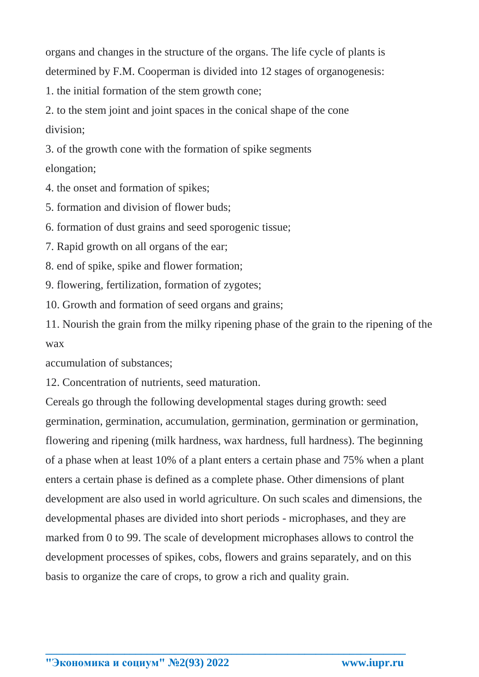organs and changes in the structure of the organs. The life cycle of plants is determined by F.M. Cooperman is divided into 12 stages of organogenesis:

1. the initial formation of the stem growth cone;

2. to the stem joint and joint spaces in the conical shape of the cone division;

3. of the growth cone with the formation of spike segments elongation;

4. the onset and formation of spikes;

5. formation and division of flower buds;

6. formation of dust grains and seed sporogenic tissue;

7. Rapid growth on all organs of the ear;

8. end of spike, spike and flower formation;

9. flowering, fertilization, formation of zygotes;

10. Growth and formation of seed organs and grains;

11. Nourish the grain from the milky ripening phase of the grain to the ripening of the wax

accumulation of substances;

12. Concentration of nutrients, seed maturation.

Cereals go through the following developmental stages during growth: seed germination, germination, accumulation, germination, germination or germination, flowering and ripening (milk hardness, wax hardness, full hardness). The beginning of a phase when at least 10% of a plant enters a certain phase and 75% when a plant enters a certain phase is defined as a complete phase. Other dimensions of plant development are also used in world agriculture. On such scales and dimensions, the developmental phases are divided into short periods - microphases, and they are marked from 0 to 99. The scale of development microphases allows to control the development processes of spikes, cobs, flowers and grains separately, and on this basis to organize the care of crops, to grow a rich and quality grain.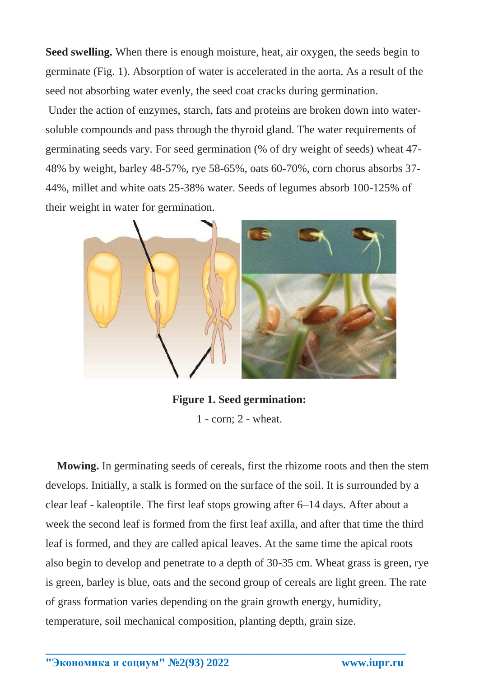**Seed swelling.** When there is enough moisture, heat, air oxygen, the seeds begin to germinate (Fig. 1). Absorption of water is accelerated in the aorta. As a result of the seed not absorbing water evenly, the seed coat cracks during germination.

Under the action of enzymes, starch, fats and proteins are broken down into watersoluble compounds and pass through the thyroid gland. The water requirements of germinating seeds vary. For seed germination (% of dry weight of seeds) wheat 47- 48% by weight, barley 48-57%, rye 58-65%, oats 60-70%, corn chorus absorbs 37- 44%, millet and white oats 25-38% water. Seeds of legumes absorb 100-125% of their weight in water for germination.



**Figure 1. Seed germination:** 1 - corn; 2 - wheat.

 **Mowing.** In germinating seeds of cereals, first the rhizome roots and then the stem develops. Initially, a stalk is formed on the surface of the soil. It is surrounded by a clear leaf - kaleoptile. The first leaf stops growing after 6–14 days. After about a week the second leaf is formed from the first leaf axilla, and after that time the third leaf is formed, and they are called apical leaves. At the same time the apical roots also begin to develop and penetrate to a depth of 30-35 cm. Wheat grass is green, rye is green, barley is blue, oats and the second group of cereals are light green. The rate of grass formation varies depending on the grain growth energy, humidity, temperature, soil mechanical composition, planting depth, grain size.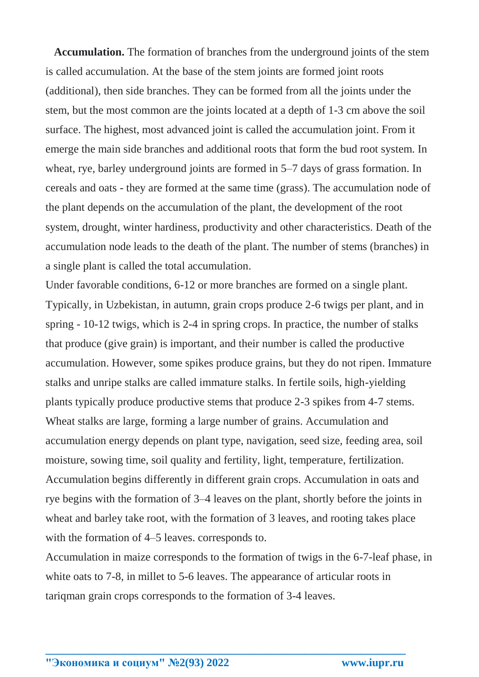**Accumulation.** The formation of branches from the underground joints of the stem is called accumulation. At the base of the stem joints are formed joint roots (additional), then side branches. They can be formed from all the joints under the stem, but the most common are the joints located at a depth of 1-3 cm above the soil surface. The highest, most advanced joint is called the accumulation joint. From it emerge the main side branches and additional roots that form the bud root system. In wheat, rye, barley underground joints are formed in 5–7 days of grass formation. In cereals and oats - they are formed at the same time (grass). The accumulation node of the plant depends on the accumulation of the plant, the development of the root system, drought, winter hardiness, productivity and other characteristics. Death of the accumulation node leads to the death of the plant. The number of stems (branches) in a single plant is called the total accumulation.

Under favorable conditions, 6-12 or more branches are formed on a single plant. Typically, in Uzbekistan, in autumn, grain crops produce 2-6 twigs per plant, and in spring - 10-12 twigs, which is 2-4 in spring crops. In practice, the number of stalks that produce (give grain) is important, and their number is called the productive accumulation. However, some spikes produce grains, but they do not ripen. Immature stalks and unripe stalks are called immature stalks. In fertile soils, high-yielding plants typically produce productive stems that produce 2-3 spikes from 4-7 stems. Wheat stalks are large, forming a large number of grains. Accumulation and accumulation energy depends on plant type, navigation, seed size, feeding area, soil moisture, sowing time, soil quality and fertility, light, temperature, fertilization. Accumulation begins differently in different grain crops. Accumulation in oats and rye begins with the formation of 3–4 leaves on the plant, shortly before the joints in wheat and barley take root, with the formation of 3 leaves, and rooting takes place with the formation of 4–5 leaves. corresponds to.

Accumulation in maize corresponds to the formation of twigs in the 6-7-leaf phase, in white oats to 7-8, in millet to 5-6 leaves. The appearance of articular roots in tariqman grain crops corresponds to the formation of 3-4 leaves.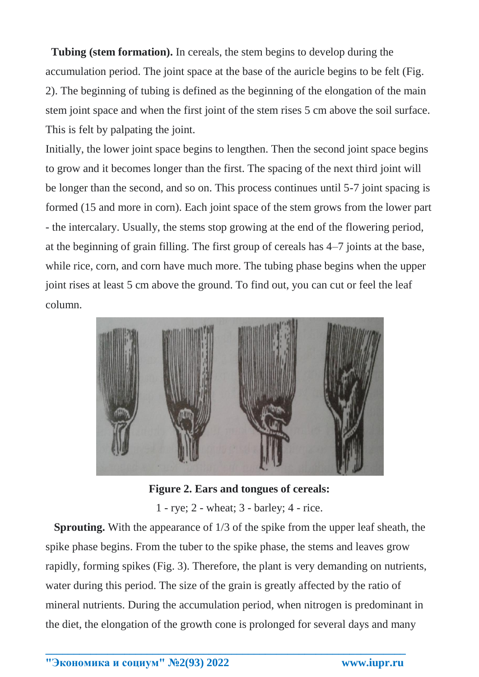**Tubing (stem formation).** In cereals, the stem begins to develop during the accumulation period. The joint space at the base of the auricle begins to be felt (Fig. 2). The beginning of tubing is defined as the beginning of the elongation of the main stem joint space and when the first joint of the stem rises 5 cm above the soil surface. This is felt by palpating the joint.

Initially, the lower joint space begins to lengthen. Then the second joint space begins to grow and it becomes longer than the first. The spacing of the next third joint will be longer than the second, and so on. This process continues until 5-7 joint spacing is formed (15 and more in corn). Each joint space of the stem grows from the lower part - the intercalary. Usually, the stems stop growing at the end of the flowering period, at the beginning of grain filling. The first group of cereals has 4–7 joints at the base, while rice, corn, and corn have much more. The tubing phase begins when the upper joint rises at least 5 cm above the ground. To find out, you can cut or feel the leaf column.



**Figure 2. Ears and tongues of cereals:**

1 - rye; 2 - wheat; 3 - barley; 4 - rice.

 **Sprouting.** With the appearance of 1/3 of the spike from the upper leaf sheath, the spike phase begins. From the tuber to the spike phase, the stems and leaves grow rapidly, forming spikes (Fig. 3). Therefore, the plant is very demanding on nutrients, water during this period. The size of the grain is greatly affected by the ratio of mineral nutrients. During the accumulation period, when nitrogen is predominant in the diet, the elongation of the growth cone is prolonged for several days and many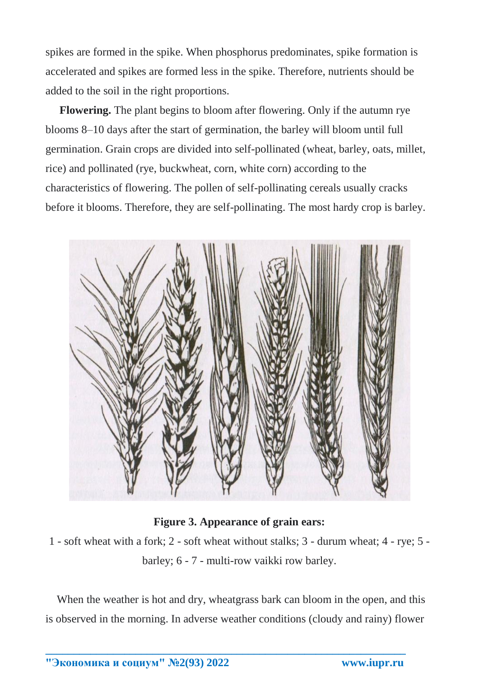spikes are formed in the spike. When phosphorus predominates, spike formation is accelerated and spikes are formed less in the spike. Therefore, nutrients should be added to the soil in the right proportions.

 **Flowering.** The plant begins to bloom after flowering. Only if the autumn rye blooms 8–10 days after the start of germination, the barley will bloom until full germination. Grain crops are divided into self-pollinated (wheat, barley, oats, millet, rice) and pollinated (rye, buckwheat, corn, white corn) according to the characteristics of flowering. The pollen of self-pollinating cereals usually cracks before it blooms. Therefore, they are self-pollinating. The most hardy crop is barley.



# **Figure 3. Appearance of grain ears:**

1 - soft wheat with a fork; 2 - soft wheat without stalks; 3 - durum wheat; 4 - rye; 5 barley; 6 - 7 - multi-row vaikki row barley.

When the weather is hot and dry, wheatgrass bark can bloom in the open, and this is observed in the morning. In adverse weather conditions (cloudy and rainy) flower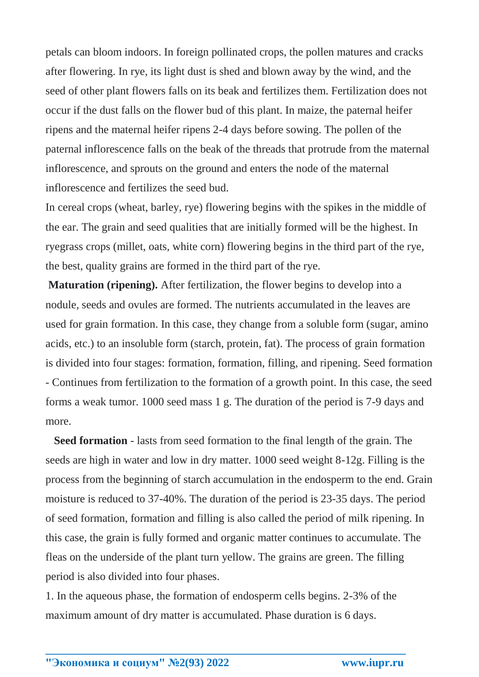petals can bloom indoors. In foreign pollinated crops, the pollen matures and cracks after flowering. In rye, its light dust is shed and blown away by the wind, and the seed of other plant flowers falls on its beak and fertilizes them. Fertilization does not occur if the dust falls on the flower bud of this plant. In maize, the paternal heifer ripens and the maternal heifer ripens 2-4 days before sowing. The pollen of the paternal inflorescence falls on the beak of the threads that protrude from the maternal inflorescence, and sprouts on the ground and enters the node of the maternal inflorescence and fertilizes the seed bud.

In cereal crops (wheat, barley, rye) flowering begins with the spikes in the middle of the ear. The grain and seed qualities that are initially formed will be the highest. In ryegrass crops (millet, oats, white corn) flowering begins in the third part of the rye, the best, quality grains are formed in the third part of the rye.

**Maturation (ripening).** After fertilization, the flower begins to develop into a nodule, seeds and ovules are formed. The nutrients accumulated in the leaves are used for grain formation. In this case, they change from a soluble form (sugar, amino acids, etc.) to an insoluble form (starch, protein, fat). The process of grain formation is divided into four stages: formation, formation, filling, and ripening. Seed formation - Continues from fertilization to the formation of a growth point. In this case, the seed forms a weak tumor. 1000 seed mass 1 g. The duration of the period is 7-9 days and more.

 **Seed formation** - lasts from seed formation to the final length of the grain. The seeds are high in water and low in dry matter. 1000 seed weight 8-12g. Filling is the process from the beginning of starch accumulation in the endosperm to the end. Grain moisture is reduced to 37-40%. The duration of the period is 23-35 days. The period of seed formation, formation and filling is also called the period of milk ripening. In this case, the grain is fully formed and organic matter continues to accumulate. The fleas on the underside of the plant turn yellow. The grains are green. The filling period is also divided into four phases.

1. In the aqueous phase, the formation of endosperm cells begins. 2-3% of the maximum amount of dry matter is accumulated. Phase duration is 6 days.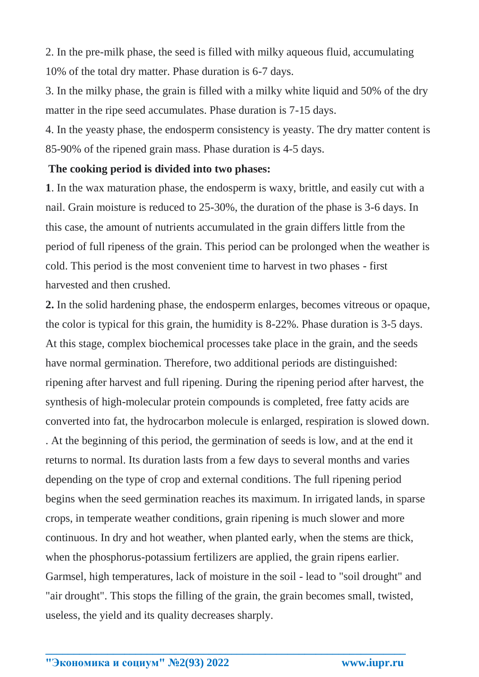2. In the pre-milk phase, the seed is filled with milky aqueous fluid, accumulating 10% of the total dry matter. Phase duration is 6-7 days.

3. In the milky phase, the grain is filled with a milky white liquid and 50% of the dry matter in the ripe seed accumulates. Phase duration is 7-15 days.

4. In the yeasty phase, the endosperm consistency is yeasty. The dry matter content is 85-90% of the ripened grain mass. Phase duration is 4-5 days.

## **The cooking period is divided into two phases:**

**1**. In the wax maturation phase, the endosperm is waxy, brittle, and easily cut with a nail. Grain moisture is reduced to 25-30%, the duration of the phase is 3-6 days. In this case, the amount of nutrients accumulated in the grain differs little from the period of full ripeness of the grain. This period can be prolonged when the weather is cold. This period is the most convenient time to harvest in two phases - first harvested and then crushed.

**2.** In the solid hardening phase, the endosperm enlarges, becomes vitreous or opaque, the color is typical for this grain, the humidity is 8-22%. Phase duration is 3-5 days. At this stage, complex biochemical processes take place in the grain, and the seeds have normal germination. Therefore, two additional periods are distinguished: ripening after harvest and full ripening. During the ripening period after harvest, the synthesis of high-molecular protein compounds is completed, free fatty acids are converted into fat, the hydrocarbon molecule is enlarged, respiration is slowed down. . At the beginning of this period, the germination of seeds is low, and at the end it returns to normal. Its duration lasts from a few days to several months and varies depending on the type of crop and external conditions. The full ripening period begins when the seed germination reaches its maximum. In irrigated lands, in sparse crops, in temperate weather conditions, grain ripening is much slower and more continuous. In dry and hot weather, when planted early, when the stems are thick, when the phosphorus-potassium fertilizers are applied, the grain ripens earlier. Garmsel, high temperatures, lack of moisture in the soil - lead to "soil drought" and "air drought". This stops the filling of the grain, the grain becomes small, twisted, useless, the yield and its quality decreases sharply.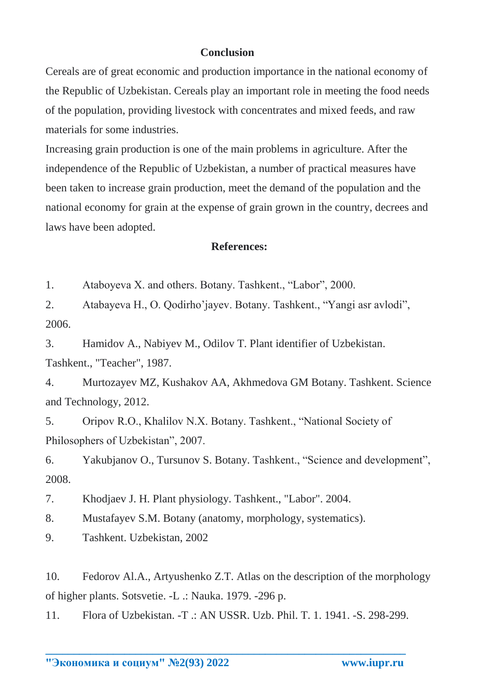## **Conclusion**

Cereals are of great economic and production importance in the national economy of the Republic of Uzbekistan. Cereals play an important role in meeting the food needs of the population, providing livestock with concentrates and mixed feeds, and raw materials for some industries.

Increasing grain production is one of the main problems in agriculture. After the independence of the Republic of Uzbekistan, a number of practical measures have been taken to increase grain production, meet the demand of the population and the national economy for grain at the expense of grain grown in the country, decrees and laws have been adopted.

## **References:**

1. Ataboyeva X. and others. Botany. Tashkent., "Labor", 2000.

2. Atabayeva H., O. Qodirho'jayev. Botany. Tashkent., "Yangi asr avlodi", 2006.

3. Hamidov A., Nabiyev M., Odilov T. Plant identifier of Uzbekistan. Tashkent., "Teacher", 1987.

4. Murtozayev MZ, Kushakov AA, Akhmedova GM Botany. Tashkent. Science and Technology, 2012.

5. Oripov R.O., Khalilov N.X. Botany. Tashkent., "National Society of Philosophers of Uzbekistan", 2007.

6. Yakubjanov O., Tursunov S. Botany. Tashkent., "Science and development", 2008.

7. Khodjaev J. H. Plant physiology. Tashkent., "Labor". 2004.

8. Mustafayev S.M. Botany (anatomy, morphology, systematics).

9. Tashkent. Uzbekistan, 2002

10. Fedorov Al.A., Artyushenko Z.T. Atlas on the description of the morphology of higher plants. Sotsvetie. -L .: Nauka. 1979. -296 p.

11. Flora of Uzbekistan. -T .: AN USSR. Uzb. Phil. T. 1. 1941. -S. 298-299.